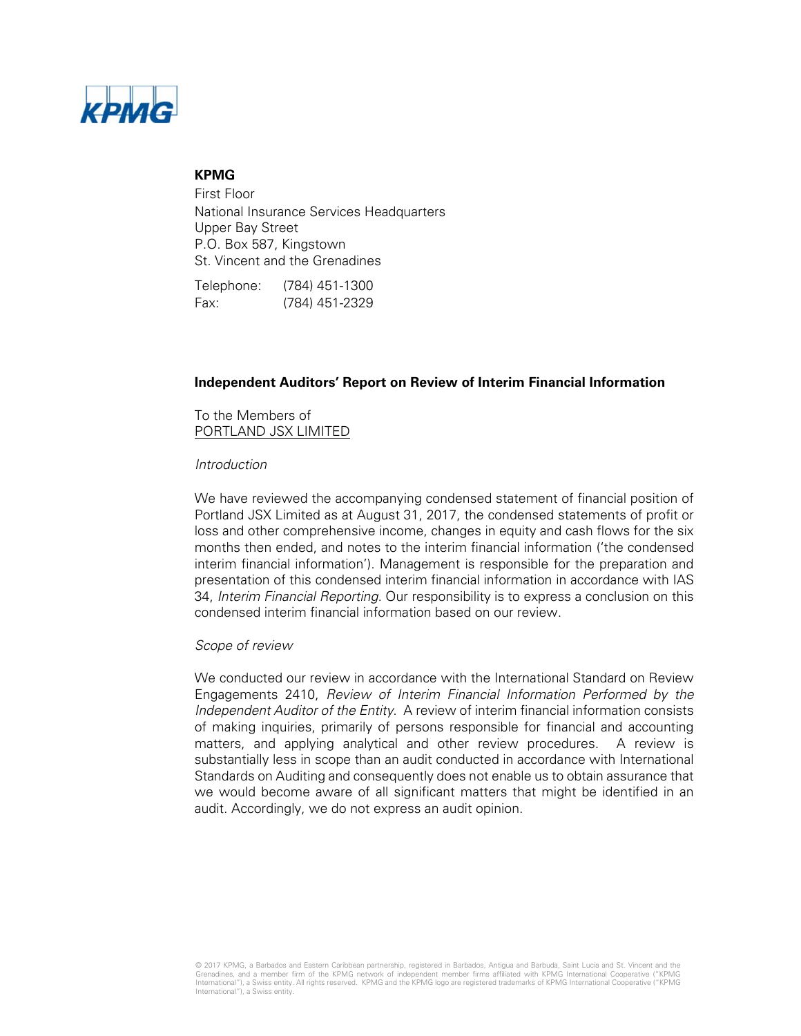

## **KPMG**

First Floor National Insurance Services Headquarters Upper Bay Street P.O. Box 587, Kingstown St. Vincent and the Grenadines

Telephone: (784) 451-1300 Fax: (784) 451-2329

## **Independent Auditors' Report on Review of Interim Financial Information**

To the Members of PORTLAND JSX LIMITED

### *Introduction*

We have reviewed the accompanying condensed statement of financial position of Portland JSX Limited as at August 31, 2017, the condensed statements of profit or loss and other comprehensive income, changes in equity and cash flows for the six months then ended, and notes to the interim financial information ('the condensed interim financial information'). Management is responsible for the preparation and presentation of this condensed interim financial information in accordance with IAS 34, *Interim Financial Reporting*. Our responsibility is to express a conclusion on this condensed interim financial information based on our review.

### *Scope of review*

We conducted our review in accordance with the International Standard on Review Engagements 2410, *Review of Interim Financial Information Performed by the Independent Auditor of the Entity*. A review of interim financial information consists of making inquiries, primarily of persons responsible for financial and accounting matters, and applying analytical and other review procedures. A review is substantially less in scope than an audit conducted in accordance with International Standards on Auditing and consequently does not enable us to obtain assurance that we would become aware of all significant matters that might be identified in an audit. Accordingly, we do not express an audit opinion.

© 2017 KPMG, a Barbados and Eastern Caribbean partnership, registered in Barbados, Antigua and Barbuda, Saint Lucia and St. Vincent and the Grenadines, and a member firm of the KPMG network of independent member firms affiliated with KPMG International Cooperative ("KPMG International"), a Swiss entity. All rights reserved. KPMG and the KPMG logo are registered trademarks of KPMG International Cooperative ("KPMG<br>International"), a Swiss entity.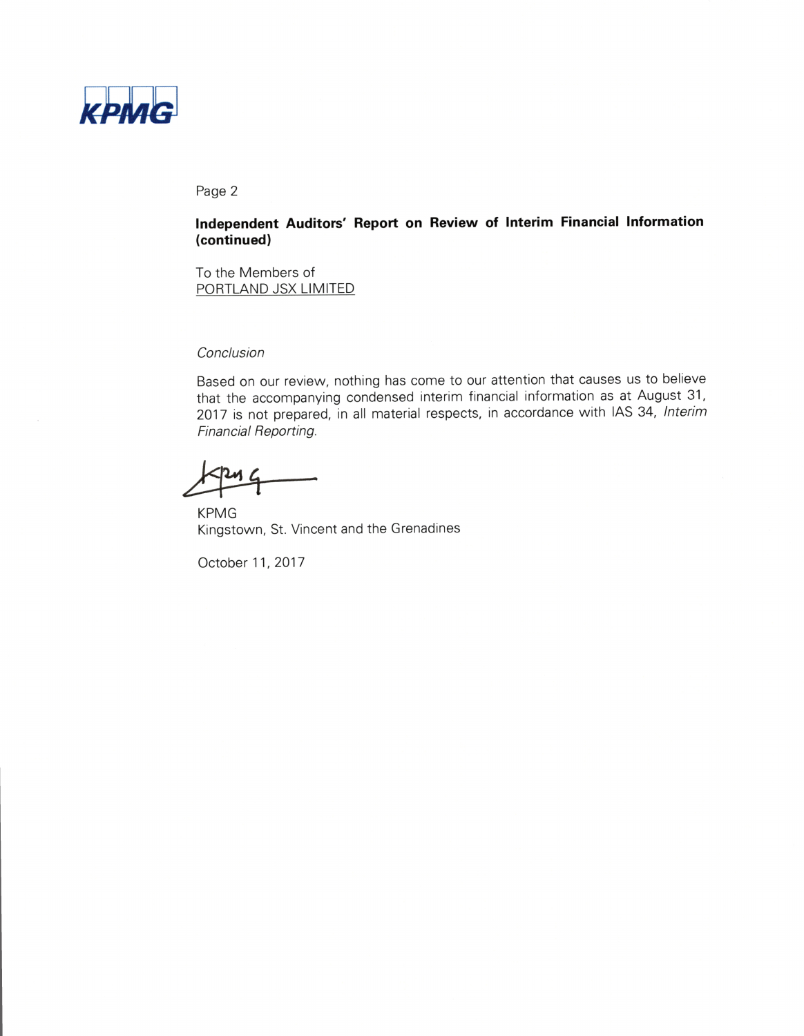

#### Page 2

## Independent Auditors' Report on Review of Interim Financial Information (continued)

To the Members of PORTLAND JSX LIMITED

#### Conclusion

Based on our review, nothing has come to our attention that causes us to believe that the accompanying condensed interim financial information as at August 31, 2017 is not prepared, in all material respects, in accordance with IAS 34, Interim Financial Reporting.

 $\overline{4}$ 

**KPMG** Kingstown, St. Vincent and the Grenadines

October 11, 2017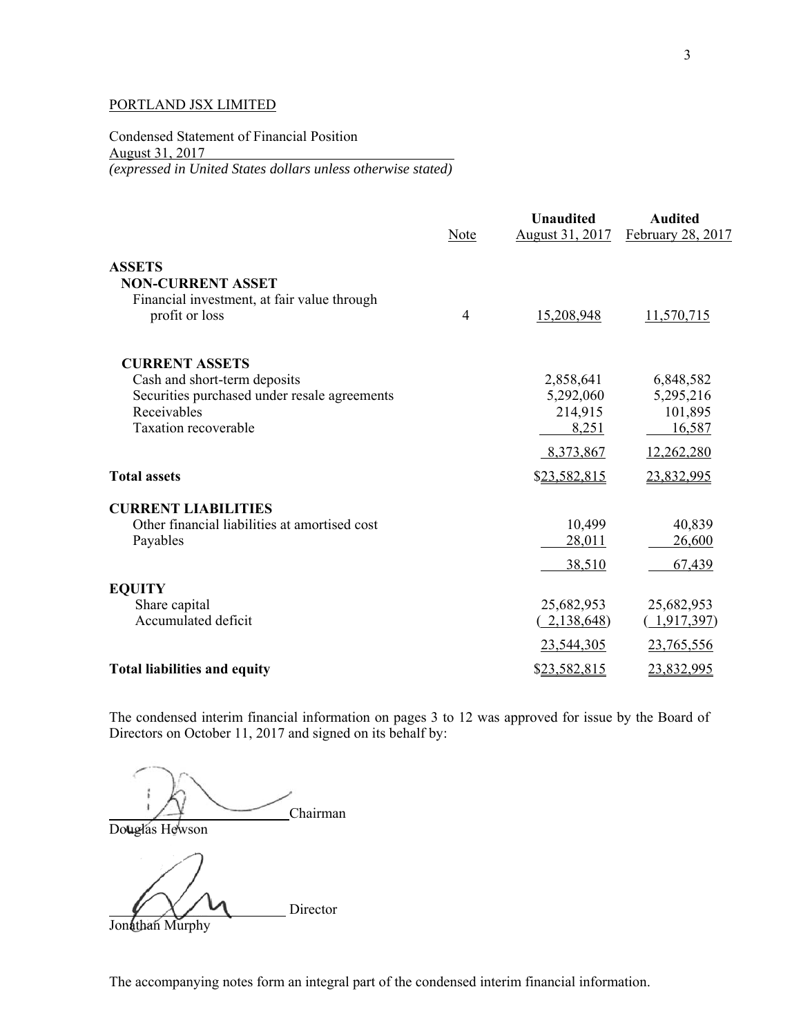Condensed Statement of Financial Position August 31, 2017 *(expressed in United States dollars unless otherwise stated)* 

|                                                                                           | Note           | <b>Unaudited</b><br>August 31, 2017 | <b>Audited</b><br>February 28, 2017 |
|-------------------------------------------------------------------------------------------|----------------|-------------------------------------|-------------------------------------|
| <b>ASSETS</b>                                                                             |                |                                     |                                     |
| <b>NON-CURRENT ASSET</b><br>Financial investment, at fair value through<br>profit or loss | $\overline{4}$ | 15,208,948                          | 11,570,715                          |
| <b>CURRENT ASSETS</b>                                                                     |                |                                     |                                     |
| Cash and short-term deposits                                                              |                | 2,858,641                           | 6,848,582                           |
| Securities purchased under resale agreements                                              |                | 5,292,060                           | 5,295,216                           |
| Receivables                                                                               |                | 214,915                             | 101,895                             |
| Taxation recoverable                                                                      |                | 8,251                               | 16,587                              |
|                                                                                           |                | 8,373,867                           | 12,262,280                          |
| <b>Total assets</b>                                                                       |                | \$23,582,815                        | 23,832,995                          |
| <b>CURRENT LIABILITIES</b>                                                                |                |                                     |                                     |
| Other financial liabilities at amortised cost                                             |                | 10,499                              | 40,839                              |
| Payables                                                                                  |                | 28,011                              | 26,600                              |
|                                                                                           |                | 38,510                              | 67,439                              |
| <b>EQUITY</b>                                                                             |                |                                     |                                     |
| Share capital                                                                             |                | 25,682,953                          | 25,682,953                          |
| Accumulated deficit                                                                       |                | 2,138,648)                          | 1,917,397)                          |
|                                                                                           |                | 23,544,305                          | 23,765,556                          |
| <b>Total liabilities and equity</b>                                                       |                | \$23,582,815                        | 23,832,995                          |

The condensed interim financial information on pages 3 to 12 was approved for issue by the Board of Directors on October 11, 2017 and signed on its behalf by:

Chairman

Douglas Hewson

Director

Jonathan Murphy

The accompanying notes form an integral part of the condensed interim financial information.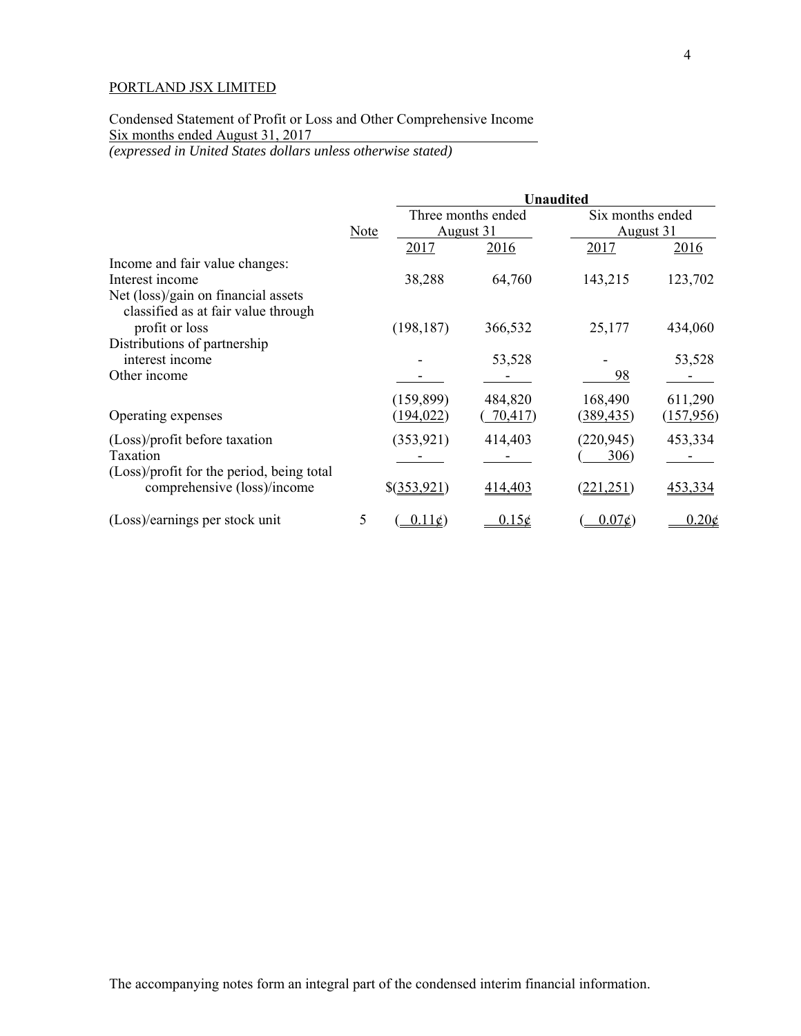# Condensed Statement of Profit or Loss and Other Comprehensive Income Six months ended August 31, 2017

*(expressed in United States dollars unless otherwise stated)* 

|                                                                          |      |                | <b>Unaudited</b>   |                  |                          |  |
|--------------------------------------------------------------------------|------|----------------|--------------------|------------------|--------------------------|--|
|                                                                          |      |                | Three months ended | Six months ended |                          |  |
|                                                                          | Note |                | August 31          |                  | August 31                |  |
|                                                                          |      | 2017           | 2016               | <u>2017</u>      | 2016                     |  |
| Income and fair value changes:                                           |      |                |                    |                  |                          |  |
| Interest income                                                          |      | 38,288         | 64,760             | 143,215          | 123,702                  |  |
| Net (loss)/gain on financial assets                                      |      |                |                    |                  |                          |  |
| classified as at fair value through                                      |      |                |                    |                  |                          |  |
| profit or loss                                                           |      | (198, 187)     | 366,532            | 25,177           | 434,060                  |  |
| Distributions of partnership                                             |      |                |                    |                  |                          |  |
| interest income                                                          |      |                | 53,528             |                  | 53,528                   |  |
| Other income                                                             |      |                |                    | 98               |                          |  |
|                                                                          |      | (159, 899)     | 484,820            | 168,490          | 611,290                  |  |
| Operating expenses                                                       |      | (194, 022)     | 70,417             | (389, 435)       | (157,956)                |  |
|                                                                          |      |                |                    |                  |                          |  |
| (Loss)/profit before taxation                                            |      | (353, 921)     | 414,403            | (220, 945)       | 453,334                  |  |
| Taxation                                                                 |      |                |                    | 306)             |                          |  |
| (Loss)/profit for the period, being total<br>comprehensive (loss)/income |      | \$(353,921)    | 414,403            | 221.251          | 453,334                  |  |
|                                                                          |      |                |                    |                  |                          |  |
| (Loss)/earnings per stock unit                                           | 5    | $0.11\epsilon$ | 0.15c              | $0.07\epsilon$   | $0.20\text{\textdegree}$ |  |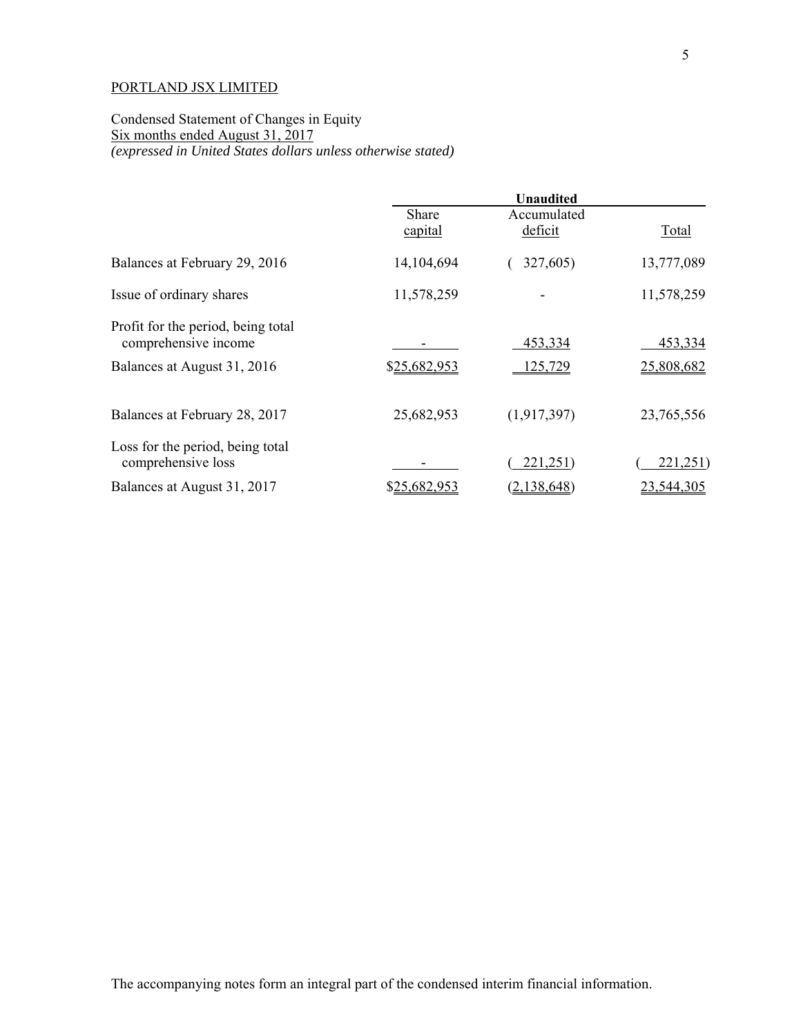Condensed Statement of Changes in Equity Six months ended August 31, 2017 *(expressed in United States dollars unless otherwise stated)* 

|                                                            | <b>Unaudited</b> |                        |            |  |
|------------------------------------------------------------|------------------|------------------------|------------|--|
|                                                            | Share<br>capital | Accumulated<br>deficit | Total      |  |
| Balances at February 29, 2016                              | 14,104,694       | 327,605)               | 13,777,089 |  |
| Issue of ordinary shares                                   | 11,578,259       |                        | 11,578,259 |  |
| Profit for the period, being total<br>comprehensive income |                  | 453,334                | 453,334    |  |
| Balances at August 31, 2016                                | \$25,682,953     | 125,729                | 25,808,682 |  |
| Balances at February 28, 2017                              | 25,682,953       | (1,917,397)            | 23,765,556 |  |
| Loss for the period, being total<br>comprehensive loss     |                  | 221,251)               | 221,251)   |  |
| Balances at August 31, 2017                                | \$25,682,953     | (2,138,648)            | 23,544,305 |  |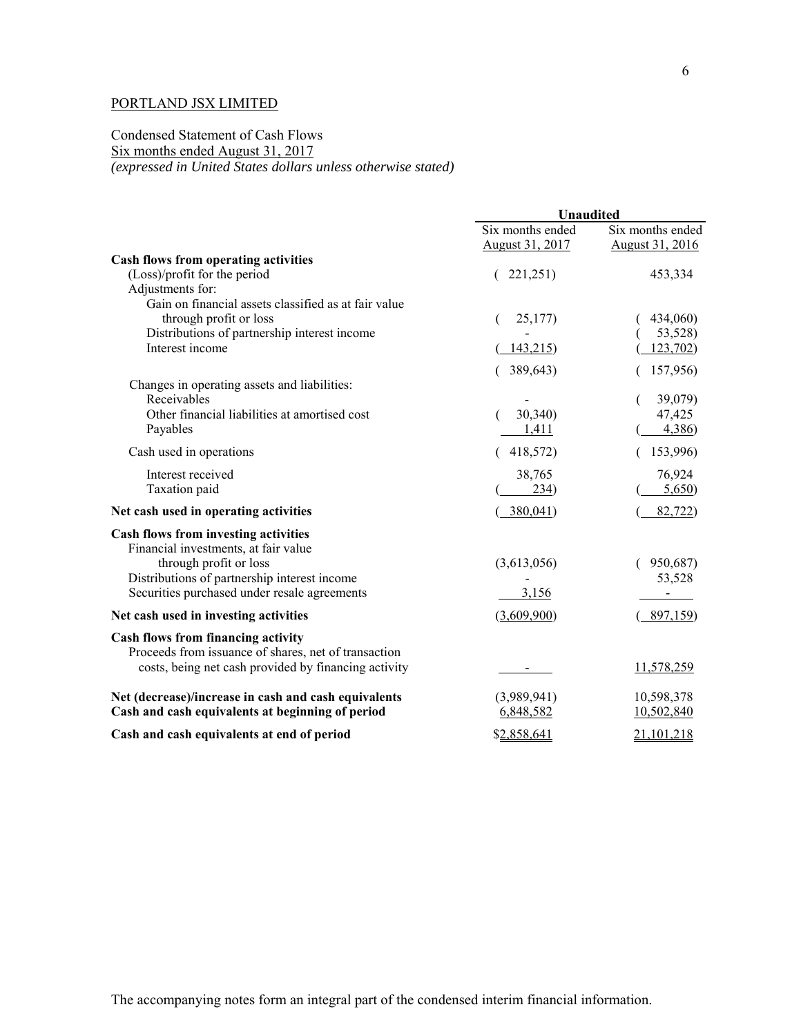## Condensed Statement of Cash Flows Six months ended August 31, 2017 *(expressed in United States dollars unless otherwise stated)*

|                                                                                                                                                    | Unaudited                           |                                     |  |
|----------------------------------------------------------------------------------------------------------------------------------------------------|-------------------------------------|-------------------------------------|--|
|                                                                                                                                                    | Six months ended<br>August 31, 2017 | Six months ended<br>August 31, 2016 |  |
| Cash flows from operating activities                                                                                                               |                                     |                                     |  |
| (Loss)/profit for the period<br>Adjustments for:                                                                                                   | (221,251)                           | 453,334                             |  |
| Gain on financial assets classified as at fair value<br>through profit or loss<br>Distributions of partnership interest income                     | 25,177                              | 434,060)<br>53,528)                 |  |
| Interest income                                                                                                                                    | 143,215<br>389,643)                 | 123,702)<br>157,956)                |  |
| Changes in operating assets and liabilities:<br>Receivables                                                                                        |                                     | 39,079)                             |  |
| Other financial liabilities at amortised cost<br>Payables                                                                                          | 30,340)<br>1,411                    | 47,425<br>4,386)                    |  |
| Cash used in operations                                                                                                                            | 418,572)                            | 153,996)                            |  |
| Interest received<br>Taxation paid                                                                                                                 | 38,765<br>234)                      | 76,924<br>5,650                     |  |
| Net cash used in operating activities                                                                                                              | 380,041                             | 82,722)                             |  |
| <b>Cash flows from investing activities</b><br>Financial investments, at fair value<br>through profit or loss                                      | (3,613,056)                         | 950,687)                            |  |
| Distributions of partnership interest income<br>Securities purchased under resale agreements                                                       | 3,156                               | 53,528                              |  |
| Net cash used in investing activities                                                                                                              | (3,609,900)                         | 897,159                             |  |
| Cash flows from financing activity<br>Proceeds from issuance of shares, net of transaction<br>costs, being net cash provided by financing activity | $\overline{\phantom{a}}$            | 11,578,259                          |  |
|                                                                                                                                                    |                                     |                                     |  |
| Net (decrease)/increase in cash and cash equivalents<br>Cash and cash equivalents at beginning of period                                           | (3,989,941)<br>6,848,582            | 10,598,378<br>10,502,840            |  |
| Cash and cash equivalents at end of period                                                                                                         | \$2,858,641                         | 21,101,218                          |  |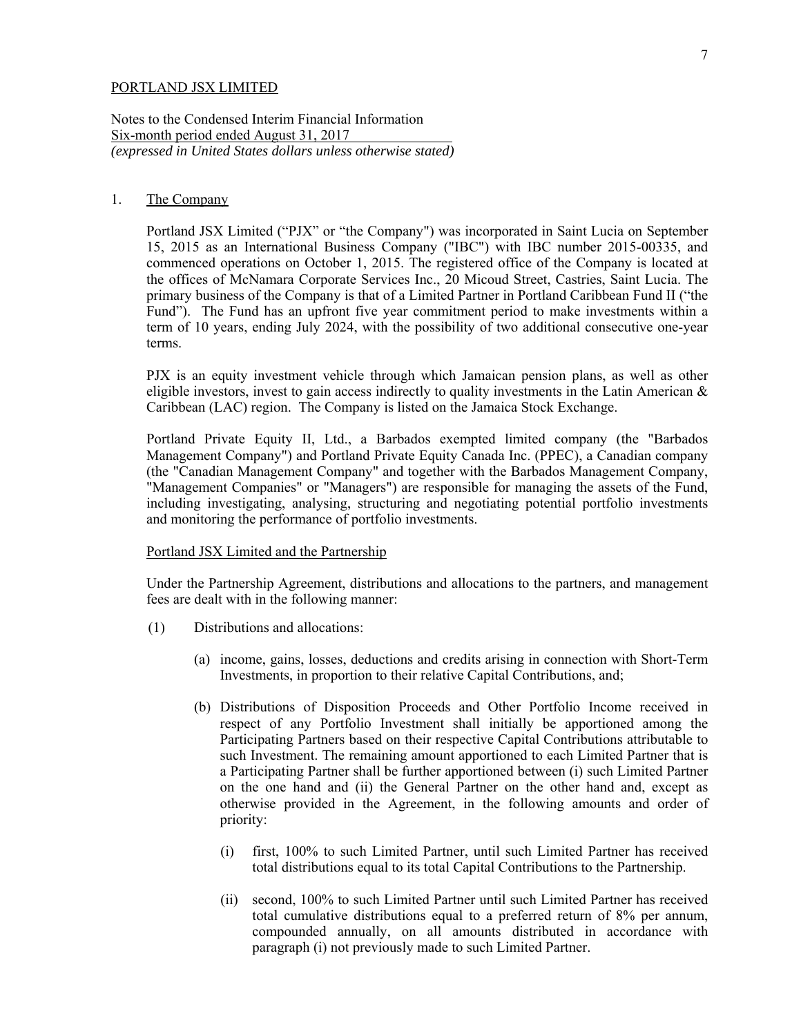Notes to the Condensed Interim Financial Information Six-month period ended August 31, 2017 *(expressed in United States dollars unless otherwise stated)* 

#### 1. The Company

Portland JSX Limited ("PJX" or "the Company") was incorporated in Saint Lucia on September 15, 2015 as an International Business Company ("IBC") with IBC number 2015-00335, and commenced operations on October 1, 2015. The registered office of the Company is located at the offices of McNamara Corporate Services Inc., 20 Micoud Street, Castries, Saint Lucia. The primary business of the Company is that of a Limited Partner in Portland Caribbean Fund II ("the Fund"). The Fund has an upfront five year commitment period to make investments within a term of 10 years, ending July 2024, with the possibility of two additional consecutive one-year terms.

PJX is an equity investment vehicle through which Jamaican pension plans, as well as other eligible investors, invest to gain access indirectly to quality investments in the Latin American  $\&$ Caribbean (LAC) region. The Company is listed on the Jamaica Stock Exchange.

Portland Private Equity II, Ltd., a Barbados exempted limited company (the "Barbados Management Company") and Portland Private Equity Canada Inc. (PPEC), a Canadian company (the "Canadian Management Company" and together with the Barbados Management Company, "Management Companies" or "Managers") are responsible for managing the assets of the Fund, including investigating, analysing, structuring and negotiating potential portfolio investments and monitoring the performance of portfolio investments.

#### Portland JSX Limited and the Partnership

Under the Partnership Agreement, distributions and allocations to the partners, and management fees are dealt with in the following manner:

- (1) Distributions and allocations:
	- (a) income, gains, losses, deductions and credits arising in connection with Short-Term Investments, in proportion to their relative Capital Contributions, and;
	- (b) Distributions of Disposition Proceeds and Other Portfolio Income received in respect of any Portfolio Investment shall initially be apportioned among the Participating Partners based on their respective Capital Contributions attributable to such Investment. The remaining amount apportioned to each Limited Partner that is a Participating Partner shall be further apportioned between (i) such Limited Partner on the one hand and (ii) the General Partner on the other hand and, except as otherwise provided in the Agreement, in the following amounts and order of priority:
		- (i) first, 100% to such Limited Partner, until such Limited Partner has received total distributions equal to its total Capital Contributions to the Partnership.
		- (ii) second, 100% to such Limited Partner until such Limited Partner has received total cumulative distributions equal to a preferred return of 8% per annum, compounded annually, on all amounts distributed in accordance with paragraph (i) not previously made to such Limited Partner.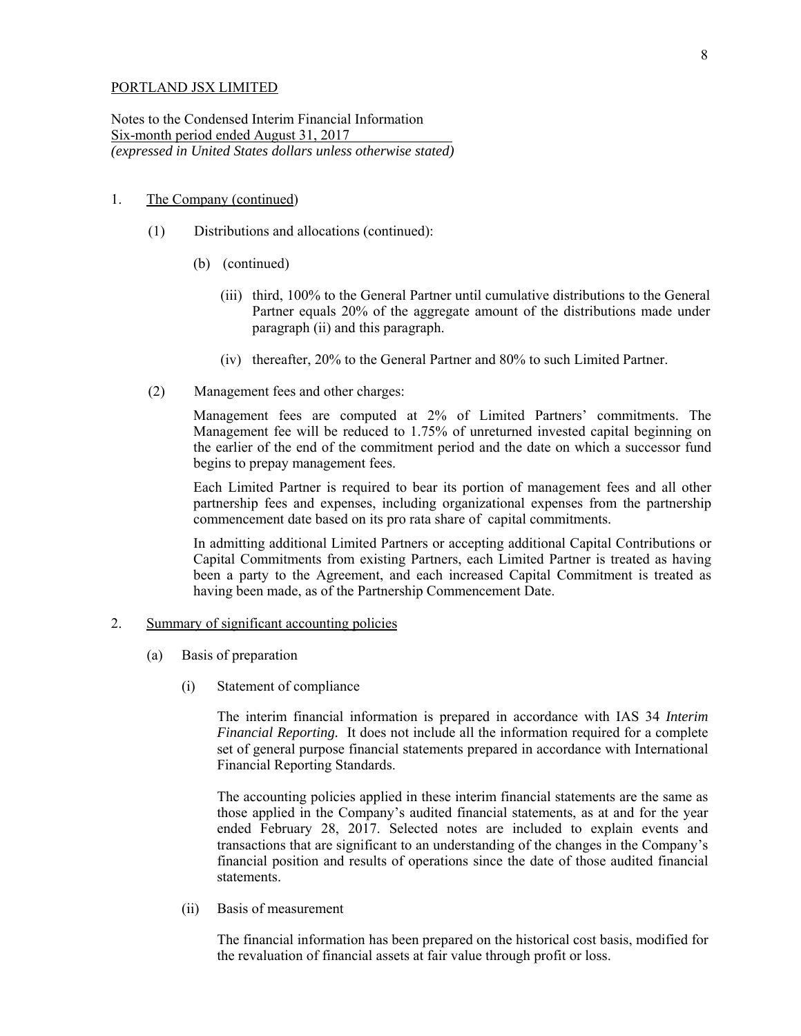Notes to the Condensed Interim Financial Information Six-month period ended August 31, 2017 *(expressed in United States dollars unless otherwise stated)* 

#### 1. The Company (continued)

- (1) Distributions and allocations (continued):
	- (b) (continued)
		- (iii) third, 100% to the General Partner until cumulative distributions to the General Partner equals 20% of the aggregate amount of the distributions made under paragraph (ii) and this paragraph.
		- (iv) thereafter, 20% to the General Partner and 80% to such Limited Partner.
- (2) Management fees and other charges:

Management fees are computed at 2% of Limited Partners' commitments. The Management fee will be reduced to 1.75% of unreturned invested capital beginning on the earlier of the end of the commitment period and the date on which a successor fund begins to prepay management fees.

Each Limited Partner is required to bear its portion of management fees and all other partnership fees and expenses, including organizational expenses from the partnership commencement date based on its pro rata share of capital commitments.

In admitting additional Limited Partners or accepting additional Capital Contributions or Capital Commitments from existing Partners, each Limited Partner is treated as having been a party to the Agreement, and each increased Capital Commitment is treated as having been made, as of the Partnership Commencement Date.

## 2. Summary of significant accounting policies

- (a) Basis of preparation
	- (i) Statement of compliance

The interim financial information is prepared in accordance with IAS 34 *Interim Financial Reporting.* It does not include all the information required for a complete set of general purpose financial statements prepared in accordance with International Financial Reporting Standards.

The accounting policies applied in these interim financial statements are the same as those applied in the Company's audited financial statements, as at and for the year ended February 28, 2017. Selected notes are included to explain events and transactions that are significant to an understanding of the changes in the Company's financial position and results of operations since the date of those audited financial statements.

(ii) Basis of measurement

The financial information has been prepared on the historical cost basis, modified for the revaluation of financial assets at fair value through profit or loss.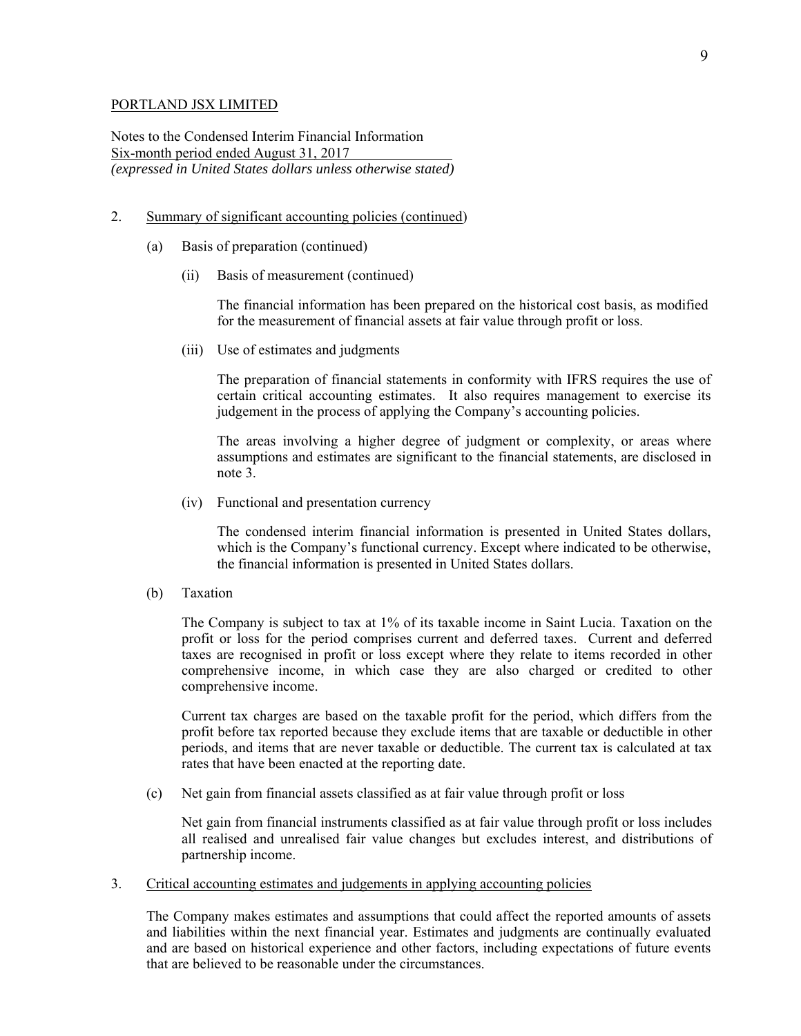Notes to the Condensed Interim Financial Information Six-month period ended August 31, 2017 *(expressed in United States dollars unless otherwise stated)* 

## 2. Summary of significant accounting policies (continued)

- (a) Basis of preparation (continued)
	- (ii) Basis of measurement (continued)

The financial information has been prepared on the historical cost basis, as modified for the measurement of financial assets at fair value through profit or loss.

(iii) Use of estimates and judgments

The preparation of financial statements in conformity with IFRS requires the use of certain critical accounting estimates. It also requires management to exercise its judgement in the process of applying the Company's accounting policies.

The areas involving a higher degree of judgment or complexity, or areas where assumptions and estimates are significant to the financial statements, are disclosed in note 3.

(iv) Functional and presentation currency

 The condensed interim financial information is presented in United States dollars, which is the Company's functional currency. Except where indicated to be otherwise, the financial information is presented in United States dollars.

(b) Taxation

The Company is subject to tax at 1% of its taxable income in Saint Lucia. Taxation on the profit or loss for the period comprises current and deferred taxes. Current and deferred taxes are recognised in profit or loss except where they relate to items recorded in other comprehensive income, in which case they are also charged or credited to other comprehensive income.

Current tax charges are based on the taxable profit for the period, which differs from the profit before tax reported because they exclude items that are taxable or deductible in other periods, and items that are never taxable or deductible. The current tax is calculated at tax rates that have been enacted at the reporting date.

(c) Net gain from financial assets classified as at fair value through profit or loss

 Net gain from financial instruments classified as at fair value through profit or loss includes all realised and unrealised fair value changes but excludes interest, and distributions of partnership income.

3. Critical accounting estimates and judgements in applying accounting policies

The Company makes estimates and assumptions that could affect the reported amounts of assets and liabilities within the next financial year. Estimates and judgments are continually evaluated and are based on historical experience and other factors, including expectations of future events that are believed to be reasonable under the circumstances.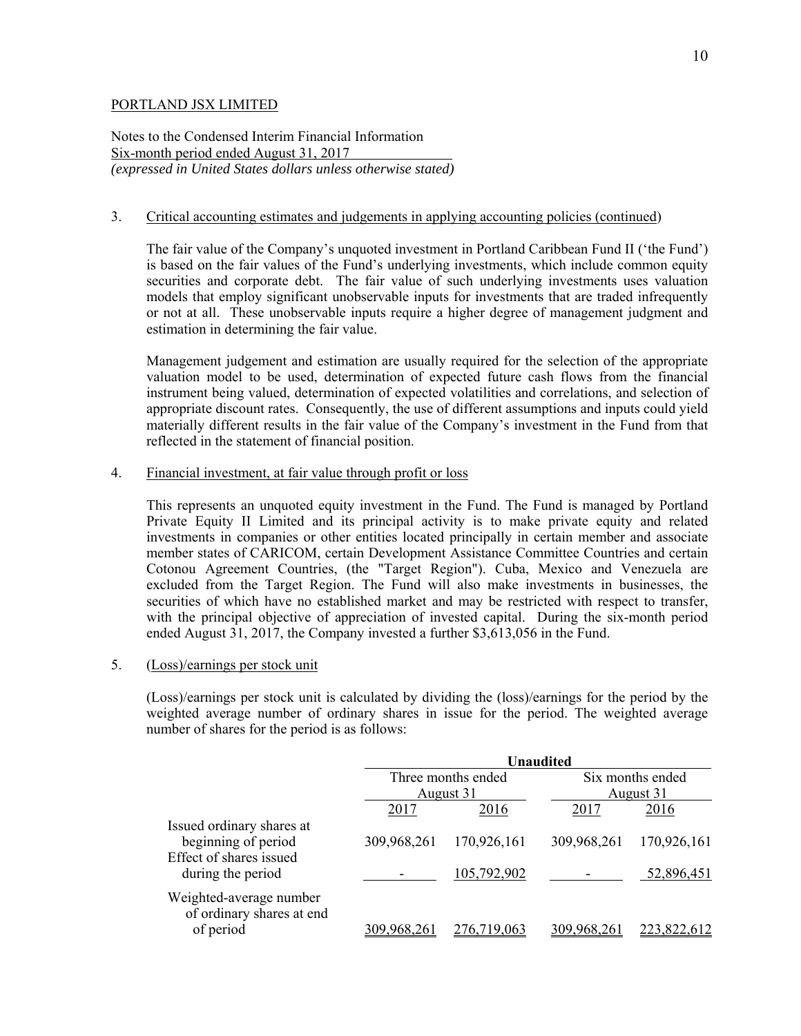Notes to the Condensed Interim Financial Information Six-month period ended August 31, 2017 *(expressed in United States dollars unless otherwise stated)* 

## 3. Critical accounting estimates and judgements in applying accounting policies (continued)

The fair value of the Company's unquoted investment in Portland Caribbean Fund II ('the Fund') is based on the fair values of the Fund's underlying investments, which include common equity securities and corporate debt. The fair value of such underlying investments uses valuation models that employ significant unobservable inputs for investments that are traded infrequently or not at all. These unobservable inputs require a higher degree of management judgment and estimation in determining the fair value.

Management judgement and estimation are usually required for the selection of the appropriate valuation model to be used, determination of expected future cash flows from the financial instrument being valued, determination of expected volatilities and correlations, and selection of appropriate discount rates. Consequently, the use of different assumptions and inputs could yield materially different results in the fair value of the Company's investment in the Fund from that reflected in the statement of financial position.

### 4. Financial investment, at fair value through profit or loss

This represents an unquoted equity investment in the Fund. The Fund is managed by Portland Private Equity II Limited and its principal activity is to make private equity and related investments in companies or other entities located principally in certain member and associate member states of CARICOM, certain Development Assistance Committee Countries and certain Cotonou Agreement Countries, (the "Target Region"). Cuba, Mexico and Venezuela are excluded from the Target Region. The Fund will also make investments in businesses, the securities of which have no established market and may be restricted with respect to transfer, with the principal objective of appreciation of invested capital. During the six-month period ended August 31, 2017, the Company invested a further \$3,613,056 in the Fund.

### 5. (Loss)/earnings per stock unit

(Loss)/earnings per stock unit is calculated by dividing the (loss)/earnings for the period by the weighted average number of ordinary shares in issue for the period. The weighted average number of shares for the period is as follows:

|                                                                   | <b>Unaudited</b>                |             |                               |             |
|-------------------------------------------------------------------|---------------------------------|-------------|-------------------------------|-------------|
|                                                                   | Three months ended<br>August 31 |             | Six months ended<br>August 31 |             |
| Issued ordinary shares at                                         | 2017                            | 2016        | 2017                          | 2016        |
| beginning of period<br>Effect of shares issued                    | 309,968,261                     | 170,926,161 | 309,968,261                   | 170,926,161 |
| during the period                                                 |                                 | 105,792,902 |                               | 52,896,451  |
| Weighted-average number<br>of ordinary shares at end<br>of period |                                 | 6.719.063   |                               |             |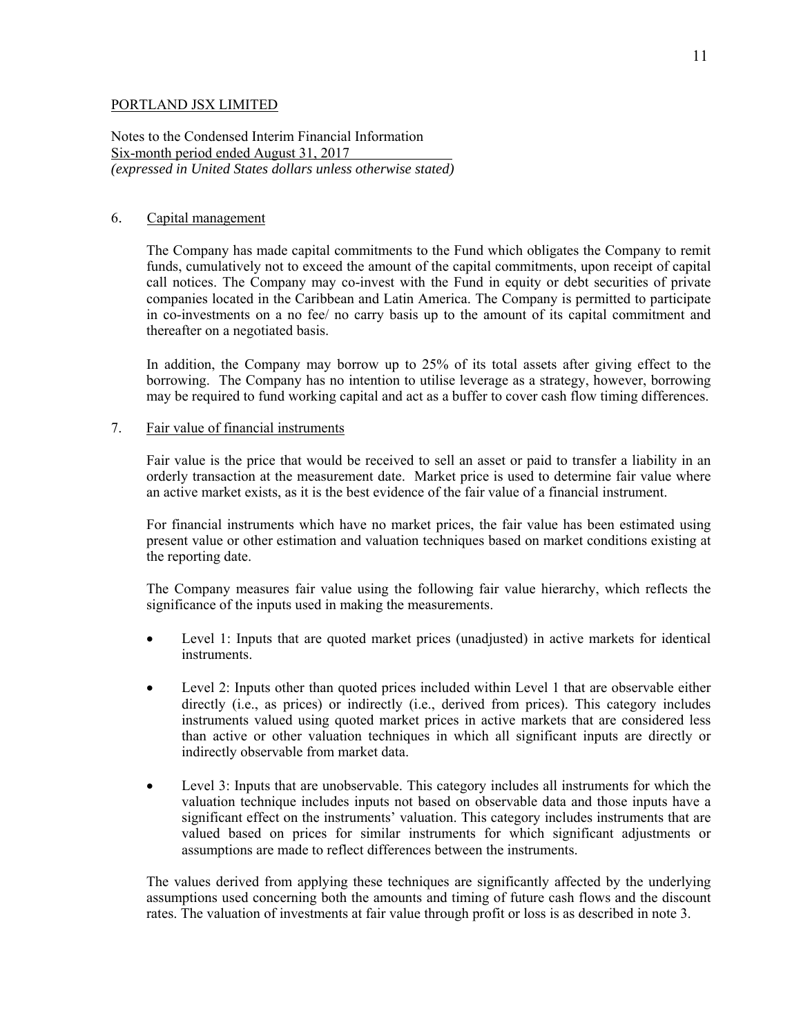Notes to the Condensed Interim Financial Information Six-month period ended August 31, 2017 *(expressed in United States dollars unless otherwise stated)* 

## 6. Capital management

The Company has made capital commitments to the Fund which obligates the Company to remit funds, cumulatively not to exceed the amount of the capital commitments, upon receipt of capital call notices. The Company may co-invest with the Fund in equity or debt securities of private companies located in the Caribbean and Latin America. The Company is permitted to participate in co-investments on a no fee/ no carry basis up to the amount of its capital commitment and thereafter on a negotiated basis.

In addition, the Company may borrow up to 25% of its total assets after giving effect to the borrowing. The Company has no intention to utilise leverage as a strategy, however, borrowing may be required to fund working capital and act as a buffer to cover cash flow timing differences.

## 7. Fair value of financial instruments

Fair value is the price that would be received to sell an asset or paid to transfer a liability in an orderly transaction at the measurement date. Market price is used to determine fair value where an active market exists, as it is the best evidence of the fair value of a financial instrument.

 For financial instruments which have no market prices, the fair value has been estimated using present value or other estimation and valuation techniques based on market conditions existing at the reporting date.

The Company measures fair value using the following fair value hierarchy, which reflects the significance of the inputs used in making the measurements.

- Level 1: Inputs that are quoted market prices (unadjusted) in active markets for identical instruments.
- Level 2: Inputs other than quoted prices included within Level 1 that are observable either directly (i.e., as prices) or indirectly (i.e., derived from prices). This category includes instruments valued using quoted market prices in active markets that are considered less than active or other valuation techniques in which all significant inputs are directly or indirectly observable from market data.
- Level 3: Inputs that are unobservable. This category includes all instruments for which the valuation technique includes inputs not based on observable data and those inputs have a significant effect on the instruments' valuation. This category includes instruments that are valued based on prices for similar instruments for which significant adjustments or assumptions are made to reflect differences between the instruments.

The values derived from applying these techniques are significantly affected by the underlying assumptions used concerning both the amounts and timing of future cash flows and the discount rates. The valuation of investments at fair value through profit or loss is as described in note 3.